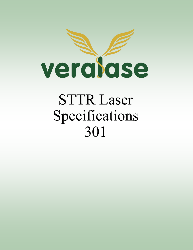

# STTR Laser Specifications 301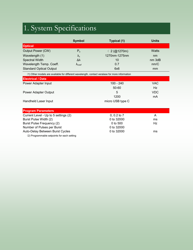## 1. System Specifications

|                                                                                                | <b>Symbol</b>        | Typical (1)          | <b>Units</b> |
|------------------------------------------------------------------------------------------------|----------------------|----------------------|--------------|
| <b>Optical</b>                                                                                 |                      |                      |              |
| <b>Output Power (CW)</b>                                                                       | P <sub>o</sub>       | $\langle 2 (@1270m)$ | Watts        |
| Wavelength (1)                                                                                 | $\lambda_c$          | 1270nm-1275nm        | nm           |
| <b>Spectral Width</b>                                                                          | Δλ                   | 10                   | nm 3dB       |
| Wavelength Temp. Coeff.                                                                        | $\Lambda_{\rm coef}$ | 0.7                  | nm/C         |
| <b>Standard Optical Output</b>                                                                 |                      | 6x6                  | mm           |
| (1) Other models are available for different wavelength, contact veralase for more information |                      |                      |              |
| <b>Electrical / Data</b>                                                                       |                      |                      |              |
| Power Adapter Input                                                                            |                      | $100 - 240$          | <b>VAC</b>   |
|                                                                                                |                      | 50-60                | Hz           |
| Power Adapter Output                                                                           |                      | 5                    | <b>VDC</b>   |
|                                                                                                |                      | 1200                 | mA           |
| Handheld Laser Input                                                                           | micro USB type C     |                      |              |
|                                                                                                |                      |                      |              |
| <b>Program Parameters</b>                                                                      |                      |                      |              |
| Current Level - Up to 5 settings (2)                                                           |                      | 0, 0.2 to $7$        | A            |
| Burst Pulse Width (2)                                                                          |                      | 0 to 32000           | ms           |
| Burst Pulse Frequency (2)                                                                      |                      | 0 to 500             | Hz           |
| Number of Pulses per Burst                                                                     |                      | 0 to 32000           |              |
| Auto-Delay Between Burst Cycles                                                                |                      | 0 to 32000           | ms           |
| (2) Programmable setpoints for each setting                                                    |                      |                      |              |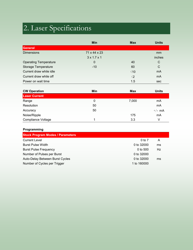## 2. Laser Specifications

|                              | <b>Min</b>              | <b>Max</b>  | <b>Units</b> |
|------------------------------|-------------------------|-------------|--------------|
| General                      |                         |             |              |
| <b>Dimensions</b>            | 71 x 44 x 23            |             | mm           |
|                              | $3 \times 1.7 \times 1$ |             | inches       |
| <b>Operating Temperature</b> | $\mathbf 0$             | 40          | C            |
| <b>Storage Temperature</b>   | $-10$                   | 60          | $\mathsf{C}$ |
| Current draw while idle      |                         | $\leq 10$   | mA           |
| Current draw while off       |                         | $\langle 2$ | mA           |
| Power on wait time           |                         | 1.5         | sec          |

| <b>CW Operation</b>  | Min | <b>Max</b> | <b>Units</b> |
|----------------------|-----|------------|--------------|
| <b>Laser Current</b> |     |            |              |
| Range                | 0   | 7,000      | mA           |
| Resolution           | 50  |            | mA           |
| Accuracy             | 50  |            | $^{+/}$ - mA |
| Noise/Ripple         |     | 175        | mA           |
| Compliance Voltage   |     | 3.3        | V            |

| $0$ to $7$  | A  |
|-------------|----|
| 0 to 32000  | ms |
| $0$ to 500  | Hz |
| 0 to 32000  |    |
| 0 to 32000  | ms |
| 1 to 160000 |    |
|             |    |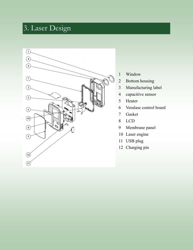#### 3. Laser Design



- Window
- Bottom housing
- Manufacturing label
- capacitive sensor
- Heater
- Veralase control board
- Gasket
- LCD
- Membrane panel
- Laser engine
- USB plug
- Charging pin